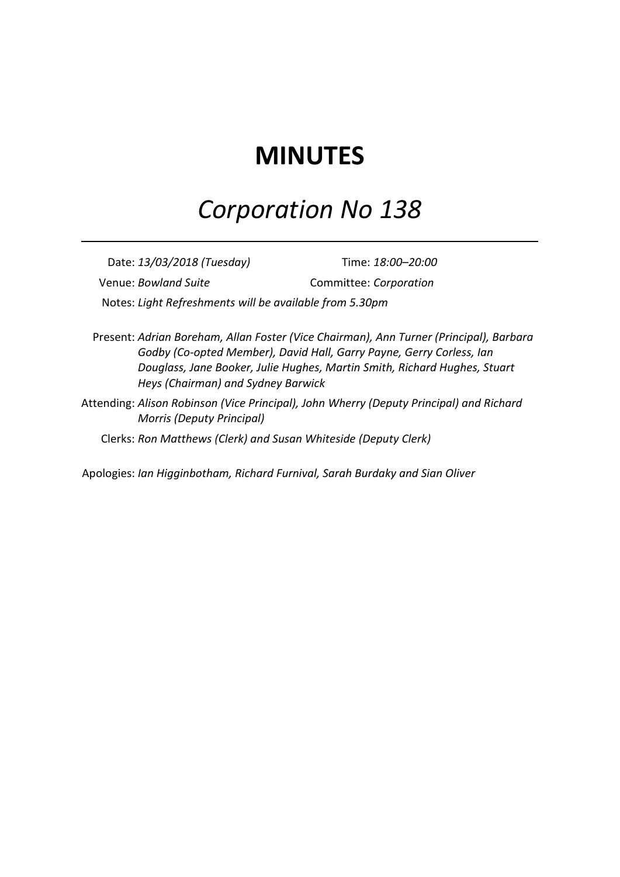# **MINUTES**

# *Corporation No 138*

Date: *13/03/2018 (Tuesday)* Time: *18:00–20:00* Venue: *Bowland Suite* Committee: *Corporation* Notes: *Light Refreshments will be available from 5.30pm*

Present: *Adrian Boreham, Allan Foster (Vice Chairman), Ann Turner (Principal), Barbara Godby (Co-opted Member), David Hall, Garry Payne, Gerry Corless, Ian Douglass, Jane Booker, Julie Hughes, Martin Smith, Richard Hughes, Stuart Heys (Chairman) and Sydney Barwick*

Attending: *Alison Robinson (Vice Principal), John Wherry (Deputy Principal) and Richard Morris (Deputy Principal)*

Clerks: *Ron Matthews (Clerk) and Susan Whiteside (Deputy Clerk)*

Apologies: *Ian Higginbotham, Richard Furnival, Sarah Burdaky and Sian Oliver*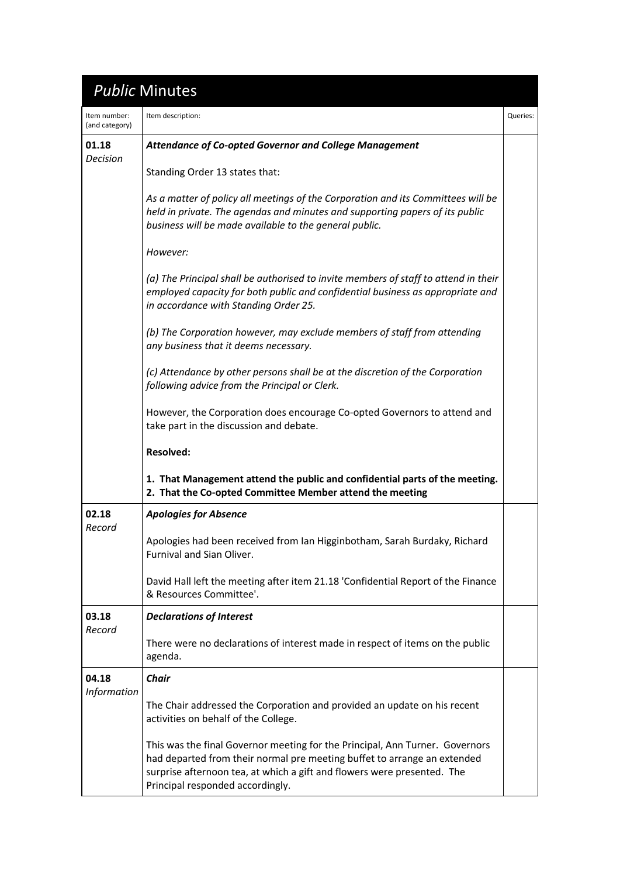## *Public* Minutes

| Item number:<br>(and category) | Item description:                                                                                                                                                                                                                                                       | Queries: |
|--------------------------------|-------------------------------------------------------------------------------------------------------------------------------------------------------------------------------------------------------------------------------------------------------------------------|----------|
| 01.18<br>Decision              | <b>Attendance of Co-opted Governor and College Management</b>                                                                                                                                                                                                           |          |
|                                | Standing Order 13 states that:                                                                                                                                                                                                                                          |          |
|                                | As a matter of policy all meetings of the Corporation and its Committees will be<br>held in private. The agendas and minutes and supporting papers of its public<br>business will be made available to the general public.                                              |          |
|                                | However:                                                                                                                                                                                                                                                                |          |
|                                | (a) The Principal shall be authorised to invite members of staff to attend in their<br>employed capacity for both public and confidential business as appropriate and<br>in accordance with Standing Order 25.                                                          |          |
|                                | (b) The Corporation however, may exclude members of staff from attending<br>any business that it deems necessary.                                                                                                                                                       |          |
|                                | (c) Attendance by other persons shall be at the discretion of the Corporation<br>following advice from the Principal or Clerk.                                                                                                                                          |          |
|                                | However, the Corporation does encourage Co-opted Governors to attend and<br>take part in the discussion and debate.                                                                                                                                                     |          |
|                                | <b>Resolved:</b>                                                                                                                                                                                                                                                        |          |
|                                | 1. That Management attend the public and confidential parts of the meeting.<br>2. That the Co-opted Committee Member attend the meeting                                                                                                                                 |          |
| 02.18<br>Record                | <b>Apologies for Absence</b>                                                                                                                                                                                                                                            |          |
|                                | Apologies had been received from Ian Higginbotham, Sarah Burdaky, Richard<br><b>Furnival and Sian Oliver.</b>                                                                                                                                                           |          |
|                                | David Hall left the meeting after item 21.18 'Confidential Report of the Finance<br>& Resources Committee'.                                                                                                                                                             |          |
| 03.18<br>Record                | <b>Declarations of Interest</b>                                                                                                                                                                                                                                         |          |
|                                | There were no declarations of interest made in respect of items on the public<br>agenda.                                                                                                                                                                                |          |
| 04.18<br><b>Information</b>    | <b>Chair</b>                                                                                                                                                                                                                                                            |          |
|                                | The Chair addressed the Corporation and provided an update on his recent<br>activities on behalf of the College.                                                                                                                                                        |          |
|                                | This was the final Governor meeting for the Principal, Ann Turner. Governors<br>had departed from their normal pre meeting buffet to arrange an extended<br>surprise afternoon tea, at which a gift and flowers were presented. The<br>Principal responded accordingly. |          |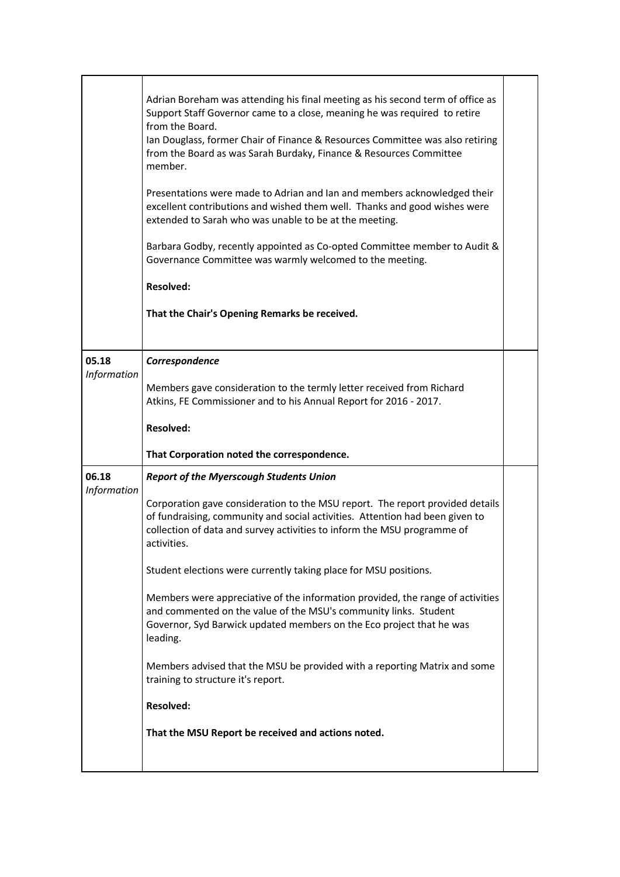|                             | Adrian Boreham was attending his final meeting as his second term of office as<br>Support Staff Governor came to a close, meaning he was required to retire<br>from the Board.<br>Ian Douglass, former Chair of Finance & Resources Committee was also retiring<br>from the Board as was Sarah Burdaky, Finance & Resources Committee<br>member.<br>Presentations were made to Adrian and Ian and members acknowledged their<br>excellent contributions and wished them well. Thanks and good wishes were<br>extended to Sarah who was unable to be at the meeting.<br>Barbara Godby, recently appointed as Co-opted Committee member to Audit &<br>Governance Committee was warmly welcomed to the meeting.<br><b>Resolved:</b><br>That the Chair's Opening Remarks be received. |  |
|-----------------------------|-----------------------------------------------------------------------------------------------------------------------------------------------------------------------------------------------------------------------------------------------------------------------------------------------------------------------------------------------------------------------------------------------------------------------------------------------------------------------------------------------------------------------------------------------------------------------------------------------------------------------------------------------------------------------------------------------------------------------------------------------------------------------------------|--|
| 05.18<br>Information        | Correspondence<br>Members gave consideration to the termly letter received from Richard                                                                                                                                                                                                                                                                                                                                                                                                                                                                                                                                                                                                                                                                                           |  |
|                             | Atkins, FE Commissioner and to his Annual Report for 2016 - 2017.                                                                                                                                                                                                                                                                                                                                                                                                                                                                                                                                                                                                                                                                                                                 |  |
|                             | <b>Resolved:</b>                                                                                                                                                                                                                                                                                                                                                                                                                                                                                                                                                                                                                                                                                                                                                                  |  |
|                             | That Corporation noted the correspondence.                                                                                                                                                                                                                                                                                                                                                                                                                                                                                                                                                                                                                                                                                                                                        |  |
| 06.18<br><b>Information</b> | <b>Report of the Myerscough Students Union</b>                                                                                                                                                                                                                                                                                                                                                                                                                                                                                                                                                                                                                                                                                                                                    |  |
|                             | Corporation gave consideration to the MSU report. The report provided details<br>of fundraising, community and social activities. Attention had been given to<br>collection of data and survey activities to inform the MSU programme of<br>activities.                                                                                                                                                                                                                                                                                                                                                                                                                                                                                                                           |  |
|                             | Student elections were currently taking place for MSU positions.                                                                                                                                                                                                                                                                                                                                                                                                                                                                                                                                                                                                                                                                                                                  |  |
|                             | Members were appreciative of the information provided, the range of activities<br>and commented on the value of the MSU's community links. Student<br>Governor, Syd Barwick updated members on the Eco project that he was<br>leading.                                                                                                                                                                                                                                                                                                                                                                                                                                                                                                                                            |  |
|                             | Members advised that the MSU be provided with a reporting Matrix and some<br>training to structure it's report.                                                                                                                                                                                                                                                                                                                                                                                                                                                                                                                                                                                                                                                                   |  |
|                             | <b>Resolved:</b>                                                                                                                                                                                                                                                                                                                                                                                                                                                                                                                                                                                                                                                                                                                                                                  |  |
|                             | That the MSU Report be received and actions noted.                                                                                                                                                                                                                                                                                                                                                                                                                                                                                                                                                                                                                                                                                                                                |  |
|                             |                                                                                                                                                                                                                                                                                                                                                                                                                                                                                                                                                                                                                                                                                                                                                                                   |  |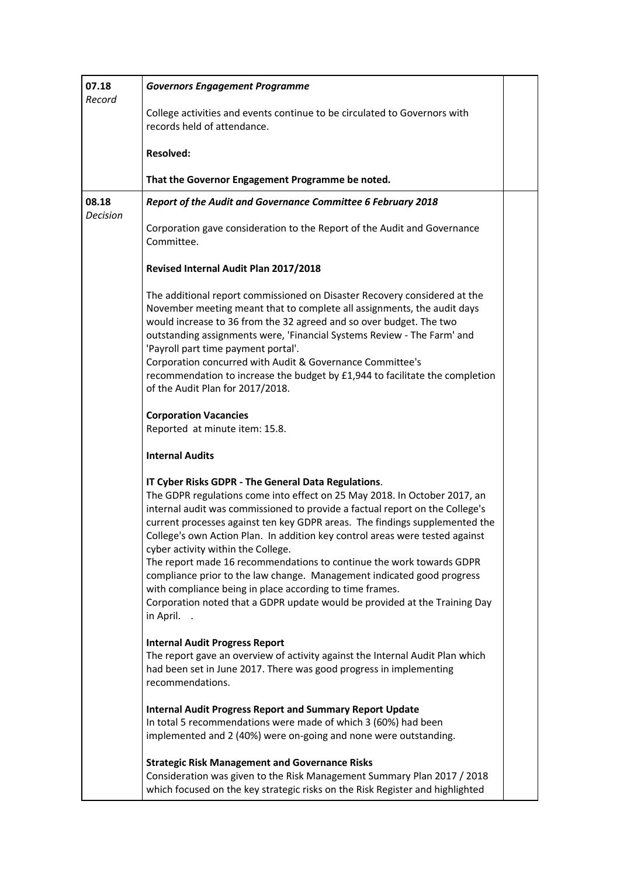| 07.18<br>Record          | <b>Governors Engagement Programme</b>                                                                                                                                                                                                                                                                                                                                                                                                                                                                                                                                                                                                                                                                                          |  |
|--------------------------|--------------------------------------------------------------------------------------------------------------------------------------------------------------------------------------------------------------------------------------------------------------------------------------------------------------------------------------------------------------------------------------------------------------------------------------------------------------------------------------------------------------------------------------------------------------------------------------------------------------------------------------------------------------------------------------------------------------------------------|--|
|                          | College activities and events continue to be circulated to Governors with<br>records held of attendance.                                                                                                                                                                                                                                                                                                                                                                                                                                                                                                                                                                                                                       |  |
|                          | <b>Resolved:</b>                                                                                                                                                                                                                                                                                                                                                                                                                                                                                                                                                                                                                                                                                                               |  |
|                          | That the Governor Engagement Programme be noted.                                                                                                                                                                                                                                                                                                                                                                                                                                                                                                                                                                                                                                                                               |  |
| 08.18<br><b>Decision</b> | Report of the Audit and Governance Committee 6 February 2018                                                                                                                                                                                                                                                                                                                                                                                                                                                                                                                                                                                                                                                                   |  |
|                          | Corporation gave consideration to the Report of the Audit and Governance<br>Committee.                                                                                                                                                                                                                                                                                                                                                                                                                                                                                                                                                                                                                                         |  |
|                          | Revised Internal Audit Plan 2017/2018                                                                                                                                                                                                                                                                                                                                                                                                                                                                                                                                                                                                                                                                                          |  |
|                          | The additional report commissioned on Disaster Recovery considered at the<br>November meeting meant that to complete all assignments, the audit days<br>would increase to 36 from the 32 agreed and so over budget. The two<br>outstanding assignments were, 'Financial Systems Review - The Farm' and<br>'Payroll part time payment portal'.<br>Corporation concurred with Audit & Governance Committee's<br>recommendation to increase the budget by £1,944 to facilitate the completion<br>of the Audit Plan for 2017/2018.                                                                                                                                                                                                 |  |
|                          | <b>Corporation Vacancies</b><br>Reported at minute item: 15.8.                                                                                                                                                                                                                                                                                                                                                                                                                                                                                                                                                                                                                                                                 |  |
|                          | <b>Internal Audits</b>                                                                                                                                                                                                                                                                                                                                                                                                                                                                                                                                                                                                                                                                                                         |  |
|                          | IT Cyber Risks GDPR - The General Data Regulations.<br>The GDPR regulations come into effect on 25 May 2018. In October 2017, an<br>internal audit was commissioned to provide a factual report on the College's<br>current processes against ten key GDPR areas. The findings supplemented the<br>College's own Action Plan. In addition key control areas were tested against<br>cyber activity within the College.<br>The report made 16 recommendations to continue the work towards GDPR<br>compliance prior to the law change. Management indicated good progress<br>with compliance being in place according to time frames.<br>Corporation noted that a GDPR update would be provided at the Training Day<br>in April. |  |
|                          | <b>Internal Audit Progress Report</b><br>The report gave an overview of activity against the Internal Audit Plan which<br>had been set in June 2017. There was good progress in implementing<br>recommendations.                                                                                                                                                                                                                                                                                                                                                                                                                                                                                                               |  |
|                          | <b>Internal Audit Progress Report and Summary Report Update</b><br>In total 5 recommendations were made of which 3 (60%) had been<br>implemented and 2 (40%) were on-going and none were outstanding.                                                                                                                                                                                                                                                                                                                                                                                                                                                                                                                          |  |
|                          | <b>Strategic Risk Management and Governance Risks</b><br>Consideration was given to the Risk Management Summary Plan 2017 / 2018<br>which focused on the key strategic risks on the Risk Register and highlighted                                                                                                                                                                                                                                                                                                                                                                                                                                                                                                              |  |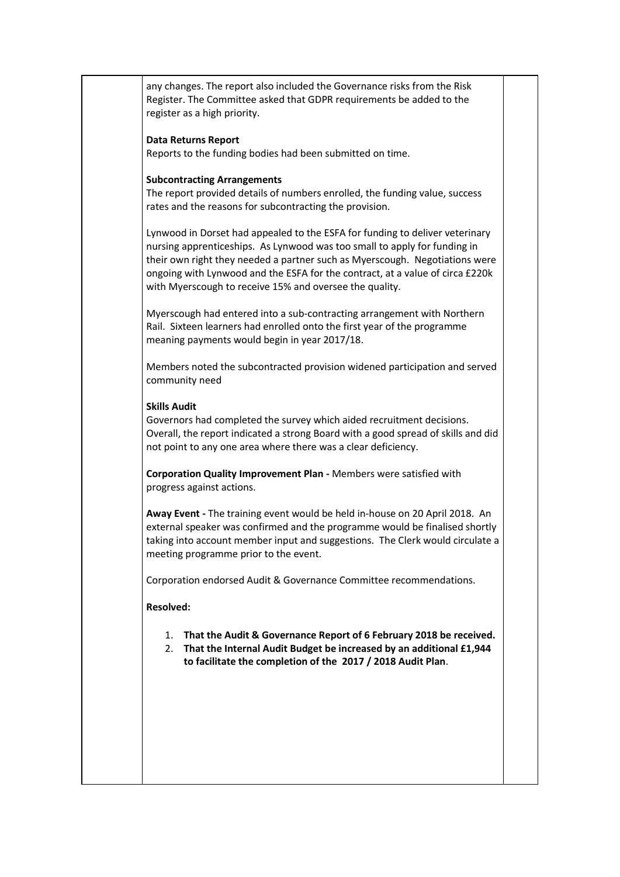any changes. The report also included the Governance risks from the Risk Register. The Committee asked that GDPR requirements be added to the register as a high priority.

### **Data Returns Report**

Reports to the funding bodies had been submitted on time.

#### **Subcontracting Arrangements**

The report provided details of numbers enrolled, the funding value, success rates and the reasons for subcontracting the provision.

Lynwood in Dorset had appealed to the ESFA for funding to deliver veterinary nursing apprenticeships. As Lynwood was too small to apply for funding in their own right they needed a partner such as Myerscough. Negotiations were ongoing with Lynwood and the ESFA for the contract, at a value of circa £220k with Myerscough to receive 15% and oversee the quality.

Myerscough had entered into a sub-contracting arrangement with Northern Rail. Sixteen learners had enrolled onto the first year of the programme meaning payments would begin in year 2017/18.

Members noted the subcontracted provision widened participation and served community need

#### **Skills Audit**

Governors had completed the survey which aided recruitment decisions. Overall, the report indicated a strong Board with a good spread of skills and did not point to any one area where there was a clear deficiency.

**Corporation Quality Improvement Plan -** Members were satisfied with progress against actions.

**Away Event -** The training event would be held in-house on 20 April 2018. An external speaker was confirmed and the programme would be finalised shortly taking into account member input and suggestions. The Clerk would circulate a meeting programme prior to the event.

Corporation endorsed Audit & Governance Committee recommendations.

### **Resolved:**

- 1. **That the Audit & Governance Report of 6 February 2018 be received.**
- 2. **That the Internal Audit Budget be increased by an additional £1,944 to facilitate the completion of the 2017 / 2018 Audit Plan**.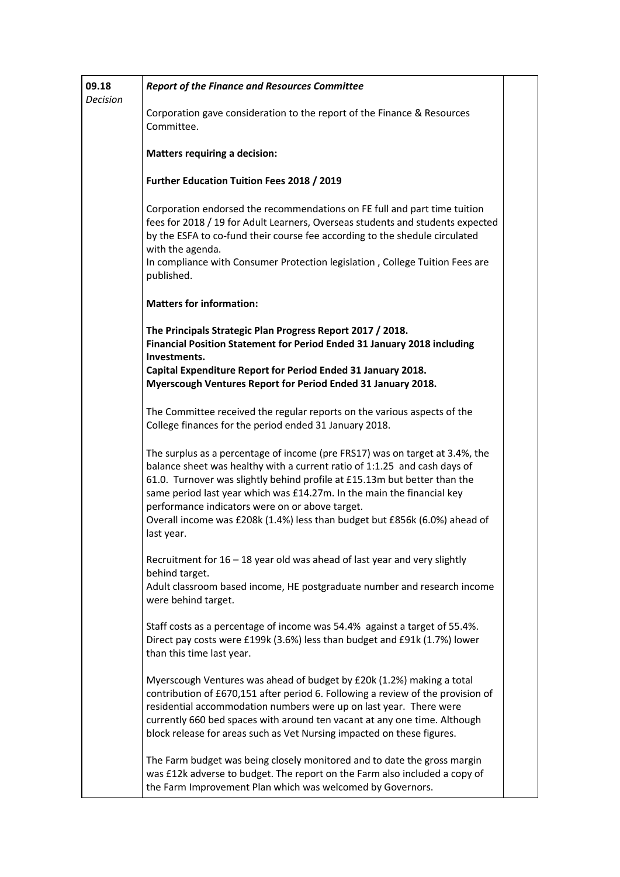| 09.18<br><b>Decision</b> | <b>Report of the Finance and Resources Committee</b>                                                                                                                                                                                                                                                                                                                                                                                                            |  |
|--------------------------|-----------------------------------------------------------------------------------------------------------------------------------------------------------------------------------------------------------------------------------------------------------------------------------------------------------------------------------------------------------------------------------------------------------------------------------------------------------------|--|
|                          | Corporation gave consideration to the report of the Finance & Resources<br>Committee.                                                                                                                                                                                                                                                                                                                                                                           |  |
|                          | <b>Matters requiring a decision:</b>                                                                                                                                                                                                                                                                                                                                                                                                                            |  |
|                          | Further Education Tuition Fees 2018 / 2019                                                                                                                                                                                                                                                                                                                                                                                                                      |  |
|                          | Corporation endorsed the recommendations on FE full and part time tuition<br>fees for 2018 / 19 for Adult Learners, Overseas students and students expected<br>by the ESFA to co-fund their course fee according to the shedule circulated<br>with the agenda.<br>In compliance with Consumer Protection legislation, College Tuition Fees are<br>published.                                                                                                    |  |
|                          | <b>Matters for information:</b>                                                                                                                                                                                                                                                                                                                                                                                                                                 |  |
|                          | The Principals Strategic Plan Progress Report 2017 / 2018.<br>Financial Position Statement for Period Ended 31 January 2018 including<br>Investments.                                                                                                                                                                                                                                                                                                           |  |
|                          | Capital Expenditure Report for Period Ended 31 January 2018.<br>Myerscough Ventures Report for Period Ended 31 January 2018.                                                                                                                                                                                                                                                                                                                                    |  |
|                          | The Committee received the regular reports on the various aspects of the<br>College finances for the period ended 31 January 2018.                                                                                                                                                                                                                                                                                                                              |  |
|                          | The surplus as a percentage of income (pre FRS17) was on target at 3.4%, the<br>balance sheet was healthy with a current ratio of 1:1.25 and cash days of<br>61.0. Turnover was slightly behind profile at £15.13m but better than the<br>same period last year which was £14.27m. In the main the financial key<br>performance indicators were on or above target.<br>Overall income was £208k (1.4%) less than budget but £856k (6.0%) ahead of<br>last year. |  |
|                          | Recruitment for $16 - 18$ year old was ahead of last year and very slightly<br>behind target.<br>Adult classroom based income, HE postgraduate number and research income<br>were behind target.                                                                                                                                                                                                                                                                |  |
|                          | Staff costs as a percentage of income was 54.4% against a target of 55.4%.<br>Direct pay costs were £199k (3.6%) less than budget and £91k (1.7%) lower<br>than this time last year.                                                                                                                                                                                                                                                                            |  |
|                          | Myerscough Ventures was ahead of budget by £20k (1.2%) making a total<br>contribution of £670,151 after period 6. Following a review of the provision of<br>residential accommodation numbers were up on last year. There were<br>currently 660 bed spaces with around ten vacant at any one time. Although<br>block release for areas such as Vet Nursing impacted on these figures.                                                                           |  |
|                          | The Farm budget was being closely monitored and to date the gross margin<br>was £12k adverse to budget. The report on the Farm also included a copy of<br>the Farm Improvement Plan which was welcomed by Governors.                                                                                                                                                                                                                                            |  |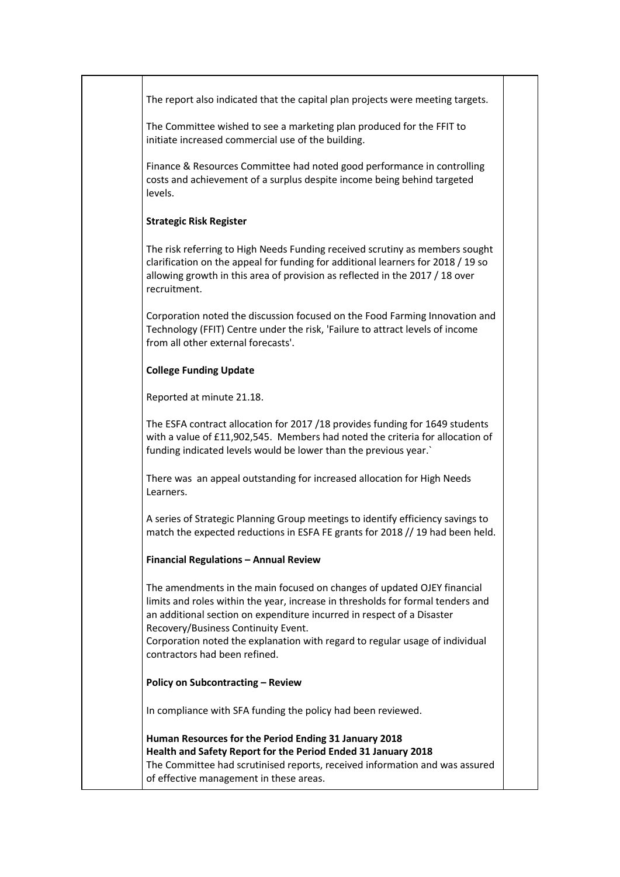| The report also indicated that the capital plan projects were meeting targets.                                                                                                                                                                                              |  |
|-----------------------------------------------------------------------------------------------------------------------------------------------------------------------------------------------------------------------------------------------------------------------------|--|
|                                                                                                                                                                                                                                                                             |  |
| The Committee wished to see a marketing plan produced for the FFIT to<br>initiate increased commercial use of the building.                                                                                                                                                 |  |
| Finance & Resources Committee had noted good performance in controlling<br>costs and achievement of a surplus despite income being behind targeted<br>levels.                                                                                                               |  |
| <b>Strategic Risk Register</b>                                                                                                                                                                                                                                              |  |
| The risk referring to High Needs Funding received scrutiny as members sought<br>clarification on the appeal for funding for additional learners for 2018 / 19 so<br>allowing growth in this area of provision as reflected in the 2017 / 18 over<br>recruitment.            |  |
| Corporation noted the discussion focused on the Food Farming Innovation and<br>Technology (FFIT) Centre under the risk, 'Failure to attract levels of income<br>from all other external forecasts'.                                                                         |  |
| <b>College Funding Update</b>                                                                                                                                                                                                                                               |  |
| Reported at minute 21.18.                                                                                                                                                                                                                                                   |  |
| The ESFA contract allocation for 2017 /18 provides funding for 1649 students<br>with a value of £11,902,545. Members had noted the criteria for allocation of<br>funding indicated levels would be lower than the previous year.                                            |  |
| There was an appeal outstanding for increased allocation for High Needs<br>Learners.                                                                                                                                                                                        |  |
| A series of Strategic Planning Group meetings to identify efficiency savings to<br>match the expected reductions in ESFA FE grants for 2018 // 19 had been held.                                                                                                            |  |
| <b>Financial Regulations - Annual Review</b>                                                                                                                                                                                                                                |  |
| The amendments in the main focused on changes of updated OJEY financial<br>limits and roles within the year, increase in thresholds for formal tenders and<br>an additional section on expenditure incurred in respect of a Disaster<br>Recovery/Business Continuity Event. |  |
| Corporation noted the explanation with regard to regular usage of individual<br>contractors had been refined.                                                                                                                                                               |  |
| <b>Policy on Subcontracting - Review</b>                                                                                                                                                                                                                                    |  |
| In compliance with SFA funding the policy had been reviewed.                                                                                                                                                                                                                |  |
| Human Resources for the Period Ending 31 January 2018<br>Health and Safety Report for the Period Ended 31 January 2018<br>The Committee had scrutinised reports, received information and was assured<br>of effective management in these areas.                            |  |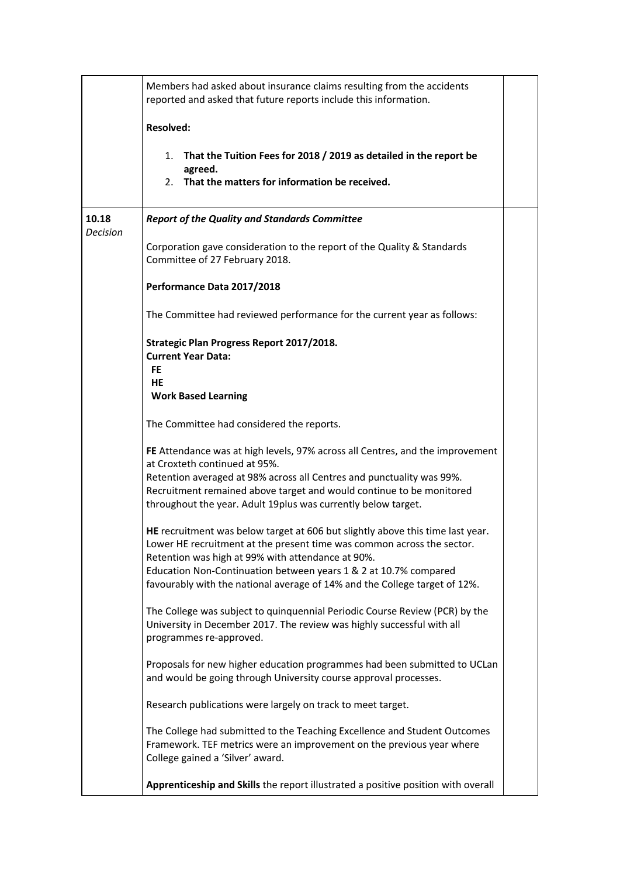|                          | Members had asked about insurance claims resulting from the accidents<br>reported and asked that future reports include this information.                                                                                                                                                                                                                       |  |
|--------------------------|-----------------------------------------------------------------------------------------------------------------------------------------------------------------------------------------------------------------------------------------------------------------------------------------------------------------------------------------------------------------|--|
|                          | <b>Resolved:</b>                                                                                                                                                                                                                                                                                                                                                |  |
|                          | That the Tuition Fees for 2018 / 2019 as detailed in the report be<br>1.<br>agreed.<br>That the matters for information be received.<br>2.                                                                                                                                                                                                                      |  |
| 10.18<br><b>Decision</b> | <b>Report of the Quality and Standards Committee</b>                                                                                                                                                                                                                                                                                                            |  |
|                          | Corporation gave consideration to the report of the Quality & Standards<br>Committee of 27 February 2018.                                                                                                                                                                                                                                                       |  |
|                          | Performance Data 2017/2018                                                                                                                                                                                                                                                                                                                                      |  |
|                          | The Committee had reviewed performance for the current year as follows:                                                                                                                                                                                                                                                                                         |  |
|                          | Strategic Plan Progress Report 2017/2018.<br><b>Current Year Data:</b><br><b>FE</b><br>HE<br><b>Work Based Learning</b>                                                                                                                                                                                                                                         |  |
|                          | The Committee had considered the reports.                                                                                                                                                                                                                                                                                                                       |  |
|                          | FE Attendance was at high levels, 97% across all Centres, and the improvement<br>at Croxteth continued at 95%.<br>Retention averaged at 98% across all Centres and punctuality was 99%.<br>Recruitment remained above target and would continue to be monitored<br>throughout the year. Adult 19plus was currently below target.                                |  |
|                          | HE recruitment was below target at 606 but slightly above this time last year.<br>Lower HE recruitment at the present time was common across the sector.<br>Retention was high at 99% with attendance at 90%.<br>Education Non-Continuation between years 1 & 2 at 10.7% compared<br>favourably with the national average of 14% and the College target of 12%. |  |
|                          | The College was subject to quinquennial Periodic Course Review (PCR) by the<br>University in December 2017. The review was highly successful with all<br>programmes re-approved.                                                                                                                                                                                |  |
|                          | Proposals for new higher education programmes had been submitted to UCLan<br>and would be going through University course approval processes.                                                                                                                                                                                                                   |  |
|                          | Research publications were largely on track to meet target.                                                                                                                                                                                                                                                                                                     |  |
|                          | The College had submitted to the Teaching Excellence and Student Outcomes<br>Framework. TEF metrics were an improvement on the previous year where<br>College gained a 'Silver' award.                                                                                                                                                                          |  |
|                          | Apprenticeship and Skills the report illustrated a positive position with overall                                                                                                                                                                                                                                                                               |  |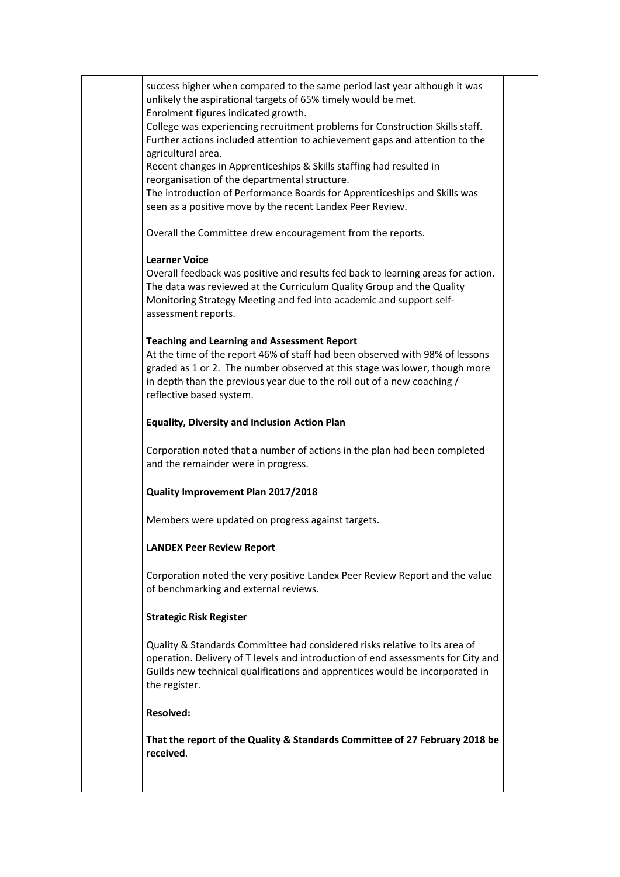success higher when compared to the same period last year although it was unlikely the aspirational targets of 65% timely would be met. Enrolment figures indicated growth. College was experiencing recruitment problems for Construction Skills staff. Further actions included attention to achievement gaps and attention to the agricultural area. Recent changes in Apprenticeships & Skills staffing had resulted in reorganisation of the departmental structure. The introduction of Performance Boards for Apprenticeships and Skills was seen as a positive move by the recent Landex Peer Review. Overall the Committee drew encouragement from the reports. **Learner Voice** Overall feedback was positive and results fed back to learning areas for action. The data was reviewed at the Curriculum Quality Group and the Quality Monitoring Strategy Meeting and fed into academic and support selfassessment reports. **Teaching and Learning and Assessment Report** At the time of the report 46% of staff had been observed with 98% of lessons graded as 1 or 2. The number observed at this stage was lower, though more in depth than the previous year due to the roll out of a new coaching / reflective based system. **Equality, Diversity and Inclusion Action Plan** Corporation noted that a number of actions in the plan had been completed and the remainder were in progress. **Quality Improvement Plan 2017/2018**  Members were updated on progress against targets. **LANDEX Peer Review Report** Corporation noted the very positive Landex Peer Review Report and the value of benchmarking and external reviews. **Strategic Risk Register** Quality & Standards Committee had considered risks relative to its area of operation. Delivery of T levels and introduction of end assessments for City and Guilds new technical qualifications and apprentices would be incorporated in the register. **Resolved: That the report of the Quality & Standards Committee of 27 February 2018 be received**.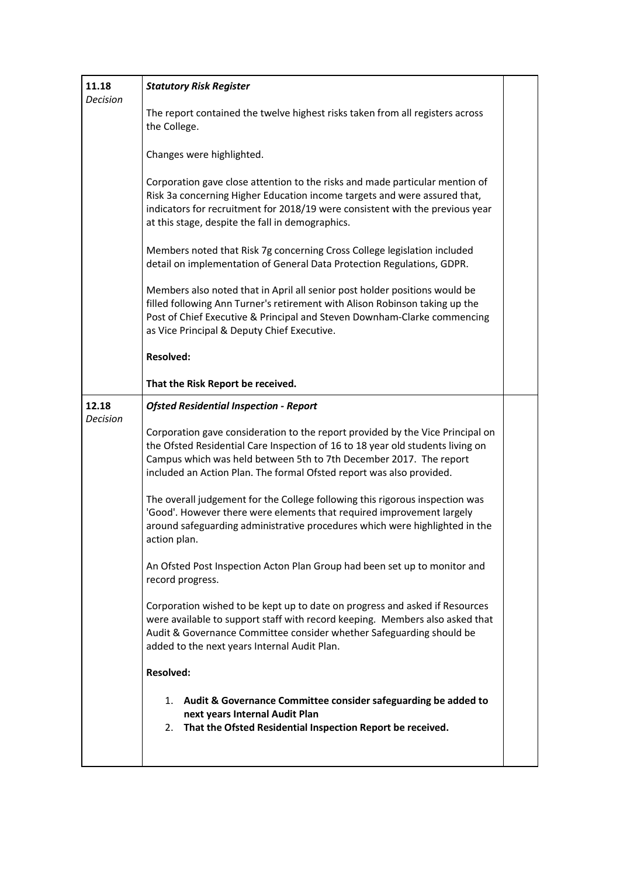| 11.18<br><b>Decision</b> | <b>Statutory Risk Register</b>                                                                                                                                                                                                                                                                                 |  |
|--------------------------|----------------------------------------------------------------------------------------------------------------------------------------------------------------------------------------------------------------------------------------------------------------------------------------------------------------|--|
|                          | The report contained the twelve highest risks taken from all registers across<br>the College.                                                                                                                                                                                                                  |  |
|                          | Changes were highlighted.                                                                                                                                                                                                                                                                                      |  |
|                          | Corporation gave close attention to the risks and made particular mention of<br>Risk 3a concerning Higher Education income targets and were assured that,<br>indicators for recruitment for 2018/19 were consistent with the previous year<br>at this stage, despite the fall in demographics.                 |  |
|                          | Members noted that Risk 7g concerning Cross College legislation included<br>detail on implementation of General Data Protection Regulations, GDPR.                                                                                                                                                             |  |
|                          | Members also noted that in April all senior post holder positions would be<br>filled following Ann Turner's retirement with Alison Robinson taking up the<br>Post of Chief Executive & Principal and Steven Downham-Clarke commencing<br>as Vice Principal & Deputy Chief Executive.                           |  |
|                          | <b>Resolved:</b>                                                                                                                                                                                                                                                                                               |  |
|                          | That the Risk Report be received.                                                                                                                                                                                                                                                                              |  |
| 12.18<br><b>Decision</b> | <b>Ofsted Residential Inspection - Report</b>                                                                                                                                                                                                                                                                  |  |
|                          | Corporation gave consideration to the report provided by the Vice Principal on<br>the Ofsted Residential Care Inspection of 16 to 18 year old students living on<br>Campus which was held between 5th to 7th December 2017. The report<br>included an Action Plan. The formal Ofsted report was also provided. |  |
|                          | The overall judgement for the College following this rigorous inspection was<br>'Good'. However there were elements that required improvement largely<br>around safeguarding administrative procedures which were highlighted in the<br>action plan.                                                           |  |
|                          | An Ofsted Post Inspection Acton Plan Group had been set up to monitor and<br>record progress.                                                                                                                                                                                                                  |  |
|                          | Corporation wished to be kept up to date on progress and asked if Resources<br>were available to support staff with record keeping. Members also asked that<br>Audit & Governance Committee consider whether Safeguarding should be<br>added to the next years Internal Audit Plan.                            |  |
|                          | <b>Resolved:</b>                                                                                                                                                                                                                                                                                               |  |
|                          | 1. Audit & Governance Committee consider safeguarding be added to<br>next years Internal Audit Plan<br>2. That the Ofsted Residential Inspection Report be received.                                                                                                                                           |  |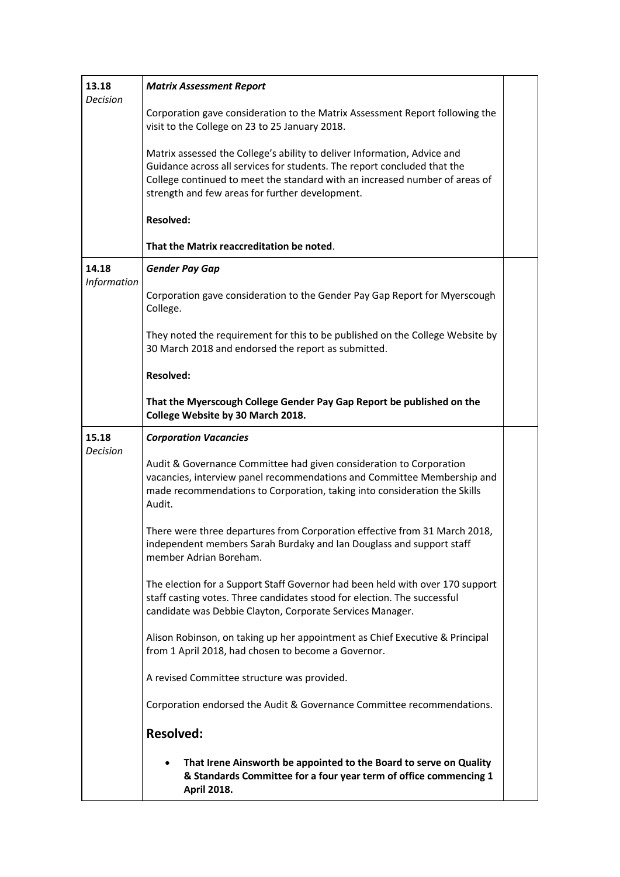| 13.18<br><b>Decision</b>    | <b>Matrix Assessment Report</b>                                                                                                                                                                                                                                                        |  |
|-----------------------------|----------------------------------------------------------------------------------------------------------------------------------------------------------------------------------------------------------------------------------------------------------------------------------------|--|
|                             | Corporation gave consideration to the Matrix Assessment Report following the<br>visit to the College on 23 to 25 January 2018.                                                                                                                                                         |  |
|                             | Matrix assessed the College's ability to deliver Information, Advice and<br>Guidance across all services for students. The report concluded that the<br>College continued to meet the standard with an increased number of areas of<br>strength and few areas for further development. |  |
|                             | <b>Resolved:</b>                                                                                                                                                                                                                                                                       |  |
|                             | That the Matrix reaccreditation be noted.                                                                                                                                                                                                                                              |  |
| 14.18<br><b>Information</b> | <b>Gender Pay Gap</b>                                                                                                                                                                                                                                                                  |  |
|                             | Corporation gave consideration to the Gender Pay Gap Report for Myerscough<br>College.                                                                                                                                                                                                 |  |
|                             | They noted the requirement for this to be published on the College Website by<br>30 March 2018 and endorsed the report as submitted.                                                                                                                                                   |  |
|                             | <b>Resolved:</b>                                                                                                                                                                                                                                                                       |  |
|                             | That the Myerscough College Gender Pay Gap Report be published on the<br>College Website by 30 March 2018.                                                                                                                                                                             |  |
| 15.18<br><b>Decision</b>    | <b>Corporation Vacancies</b>                                                                                                                                                                                                                                                           |  |
|                             | Audit & Governance Committee had given consideration to Corporation<br>vacancies, interview panel recommendations and Committee Membership and<br>made recommendations to Corporation, taking into consideration the Skills<br>Audit.                                                  |  |
|                             | There were three departures from Corporation effective from 31 March 2018,<br>independent members Sarah Burdaky and Ian Douglass and support staff<br>member Adrian Boreham.                                                                                                           |  |
|                             | The election for a Support Staff Governor had been held with over 170 support<br>staff casting votes. Three candidates stood for election. The successful<br>candidate was Debbie Clayton, Corporate Services Manager.                                                                 |  |
|                             | Alison Robinson, on taking up her appointment as Chief Executive & Principal<br>from 1 April 2018, had chosen to become a Governor.                                                                                                                                                    |  |
|                             | A revised Committee structure was provided.                                                                                                                                                                                                                                            |  |
|                             | Corporation endorsed the Audit & Governance Committee recommendations.                                                                                                                                                                                                                 |  |
|                             | <b>Resolved:</b>                                                                                                                                                                                                                                                                       |  |
|                             | That Irene Ainsworth be appointed to the Board to serve on Quality<br>& Standards Committee for a four year term of office commencing 1<br><b>April 2018.</b>                                                                                                                          |  |